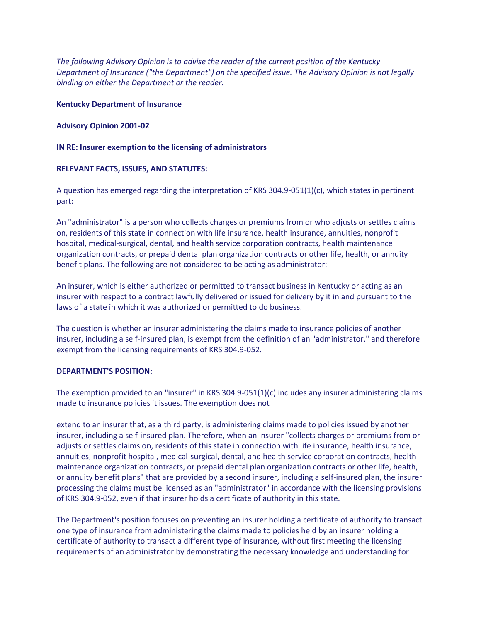*The following Advisory Opinion is to advise the reader of the current position of the Kentucky Department of Insurance ("the Department") on the specified issue. The Advisory Opinion is not legally binding on either the Department or the reader.*

# **Kentucky Department of Insurance**

### **Advisory Opinion 2001-02**

## **IN RE: Insurer exemption to the licensing of administrators**

# **RELEVANT FACTS, ISSUES, AND STATUTES:**

A question has emerged regarding the interpretation of KRS 304.9-051(1)(c), which states in pertinent part:

An "administrator" is a person who collects charges or premiums from or who adjusts or settles claims on, residents of this state in connection with life insurance, health insurance, annuities, nonprofit hospital, medical-surgical, dental, and health service corporation contracts, health maintenance organization contracts, or prepaid dental plan organization contracts or other life, health, or annuity benefit plans. The following are not considered to be acting as administrator:

An insurer, which is either authorized or permitted to transact business in Kentucky or acting as an insurer with respect to a contract lawfully delivered or issued for delivery by it in and pursuant to the laws of a state in which it was authorized or permitted to do business.

The question is whether an insurer administering the claims made to insurance policies of another insurer, including a self-insured plan, is exempt from the definition of an "administrator," and therefore exempt from the licensing requirements of KRS 304.9-052.

#### **DEPARTMENT'S POSITION:**

The exemption provided to an "insurer" in KRS 304.9-051(1)(c) includes any insurer administering claims made to insurance policies it issues. The exemption does not

extend to an insurer that, as a third party, is administering claims made to policies issued by another insurer, including a self-insured plan. Therefore, when an insurer "collects charges or premiums from or adjusts or settles claims on, residents of this state in connection with life insurance, health insurance, annuities, nonprofit hospital, medical-surgical, dental, and health service corporation contracts, health maintenance organization contracts, or prepaid dental plan organization contracts or other life, health, or annuity benefit plans" that are provided by a second insurer, including a self-insured plan, the insurer processing the claims must be licensed as an "administrator" in accordance with the licensing provisions of KRS 304.9-052, even if that insurer holds a certificate of authority in this state.

The Department's position focuses on preventing an insurer holding a certificate of authority to transact one type of insurance from administering the claims made to policies held by an insurer holding a certificate of authority to transact a different type of insurance, without first meeting the licensing requirements of an administrator by demonstrating the necessary knowledge and understanding for